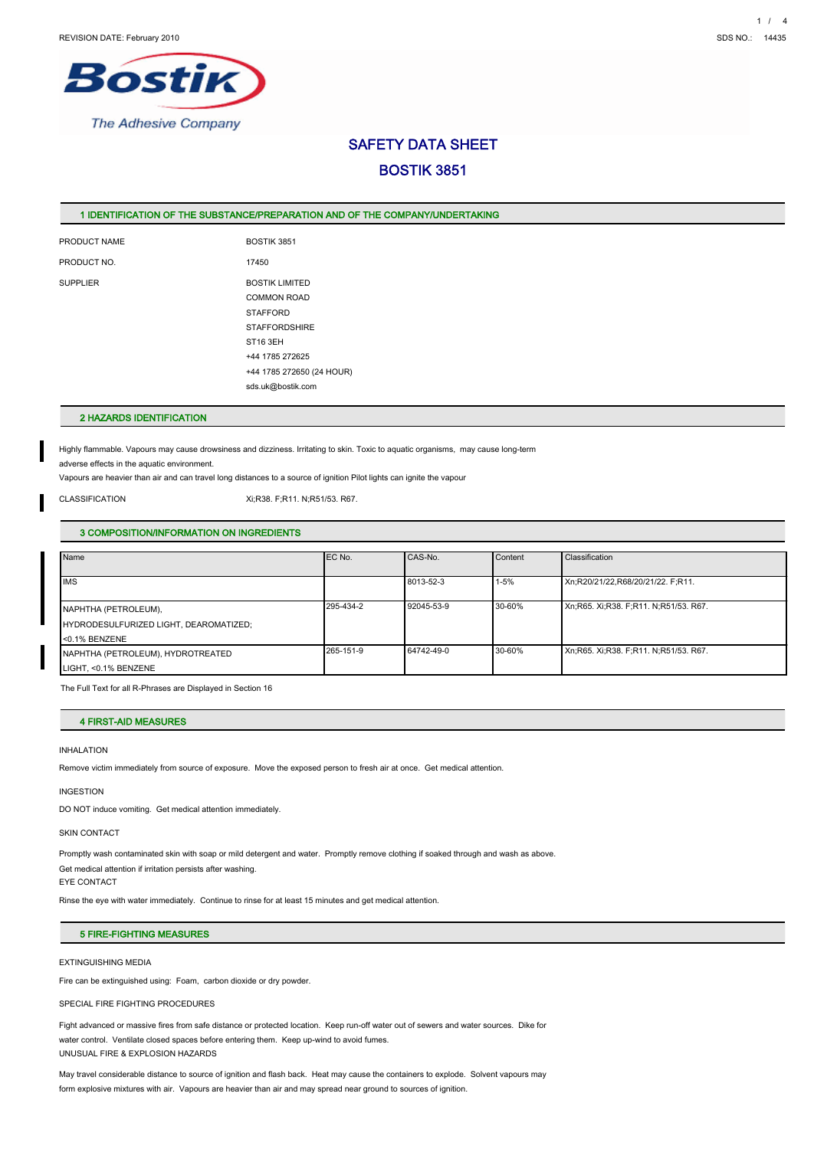

# SAFETY DATA SHEET BOSTIK 3851

## 1 IDENTIFICATION OF THE SUBSTANCE/PREPARATION AND OF THE COMPANY/UNDERTAKING

PRODUCT NAME BOSTIK 3851 PRODUCT NO. 17450 SUPPLIER BOSTIK LIMITED

COMMON ROAD **STAFFORD STAFFORDSHIRE** ST16 3EH +44 1785 272625 +44 1785 272650 (24 HOUR) sds.uk@bostik.com

## 2 HAZARDS IDENTIFICATION

Highly flammable. Vapours may cause drowsiness and dizziness. Irritating to skin. Toxic to aquatic organisms, may cause long-term adverse effects in the aquatic environment.

Vapours are heavier than air and can travel long distances to a source of ignition Pilot lights can ignite the vapour

CLASSIFICATION Xi;R38. F;R11. N;R51/53. R67.

## 3 COMPOSITION/INFORMATION ON INGREDIENTS

| Name                                   | EC No.    | CAS-No.    | Content  | Classification                        |
|----------------------------------------|-----------|------------|----------|---------------------------------------|
|                                        |           |            |          |                                       |
| <b>IMS</b>                             |           | 8013-52-3  | $1 - 5%$ | Xn;R20/21/22,R68/20/21/22. F;R11.     |
|                                        |           |            |          |                                       |
| NAPHTHA (PETROLEUM),                   | 295-434-2 | 92045-53-9 | 30-60%   | Xn;R65. Xi;R38. F;R11. N;R51/53. R67. |
| HYDRODESULFURIZED LIGHT, DEAROMATIZED; |           |            |          |                                       |
| <0.1% BENZENE                          |           |            |          |                                       |
| NAPHTHA (PETROLEUM), HYDROTREATED      | 265-151-9 | 64742-49-0 | 30-60%   | Xn;R65. Xi;R38. F;R11. N;R51/53. R67. |
| LIGHT, <0.1% BENZENE                   |           |            |          |                                       |

The Full Text for all R-Phrases are Displayed in Section 16

## 4 FIRST-AID MEASURES

### INHALATION

Remove victim immediately from source of exposure. Move the exposed person to fresh air at once. Get medical attention.

#### INGESTION

DO NOT induce vomiting. Get medical attention immediately.

### SKIN CONTACT

Promptly wash contaminated skin with soap or mild detergent and water. Promptly remove clothing if soaked through and wash as above.

Get medical attention if irritation persists after washing.

EYE CONTACT

Rinse the eye with water immediately. Continue to rinse for at least 15 minutes and get medical attention.

## 5 FIRE-FIGHTING MEASURES

## EXTINGUISHING MEDIA

Fire can be extinguished using: Foam, carbon dioxide or dry powder.

SPECIAL FIRE FIGHTING PROCEDURES

Fight advanced or massive fires from safe distance or protected location. Keep run-off water out of sewers and water sources. Dike for water control. Ventilate closed spaces before entering them. Keep up-wind to avoid fumes. UNUSUAL FIRE & EXPLOSION HAZARDS

May travel considerable distance to source of ignition and flash back. Heat may cause the containers to explode. Solvent vapours may form explosive mixtures with air. Vapours are heavier than air and may spread near ground to sources of ignition.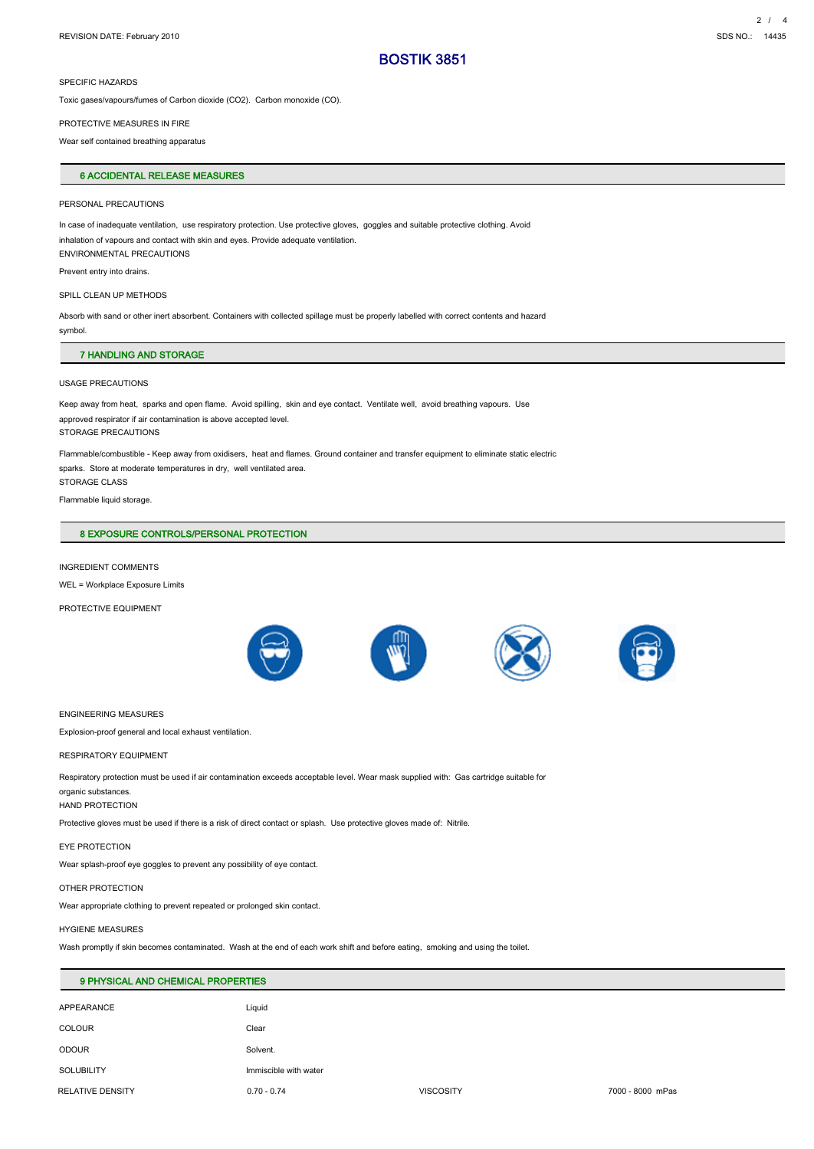### SPECIFIC HAZARDS

Toxic gases/vapours/fumes of Carbon dioxide (CO2). Carbon monoxide (CO).

#### PROTECTIVE MEASURES IN FIRE

Wear self contained breathing apparatus

## 6 ACCIDENTAL RELEASE MEASURES

#### PERSONAL PRECAUTIONS

In case of inadequate ventilation, use respiratory protection. Use protective gloves, goggles and suitable protective clothing. Avoid inhalation of vapours and contact with skin and eyes. Provide adequate ventilation. ENVIRONMENTAL PRECAUTIONS

Prevent entry into drains.

### SPILL CLEAN UP METHODS

Absorb with sand or other inert absorbent. Containers with collected spillage must be properly labelled with correct contents and hazard symbol.

### 7 HANDLING AND STORAGE

#### USAGE PRECAUTIONS

Keep away from heat, sparks and open flame. Avoid spilling, skin and eye contact. Ventilate well, avoid breathing vapours. Use approved respirator if air contamination is above accepted level. STORAGE PRECAUTIONS

Flammable/combustible - Keep away from oxidisers, heat and flames. Ground container and transfer equipment to eliminate static electric sparks. Store at moderate temperatures in dry, well ventilated area. STORAGE CLASS

Flammable liquid storage.

## 8 EXPOSURE CONTROLS/PERSONAL PROTECTION

## INGREDIENT COMMENTS

WEL = Workplace Exposure Limits

PROTECTIVE EQUIPMENT



#### ENGINEERING MEASURES

Explosion-proof general and local exhaust ventilation.

#### RESPIRATORY EQUIPMENT

Respiratory protection must be used if air contamination exceeds acceptable level. Wear mask supplied with: Gas cartridge suitable for

## organic substances.

HAND PROTECTION

Protective gloves must be used if there is a risk of direct contact or splash. Use protective gloves made of: Nitrile.

### EYE PROTECTION

Wear splash-proof eye goggles to prevent any possibility of eye contact.

#### OTHER PROTECTION

Wear appropriate clothing to prevent repeated or prolonged skin contact.

#### HYGIENE MEASURES

Wash promptly if skin becomes contaminated. Wash at the end of each work shift and before eating, smoking and using the toilet.

| 9 PHYSICAL AND CHEMICAL PROPERTIES |                       |                  |                  |  |
|------------------------------------|-----------------------|------------------|------------------|--|
| APPEARANCE                         | Liquid                |                  |                  |  |
| <b>COLOUR</b>                      | Clear                 |                  |                  |  |
| <b>ODOUR</b>                       | Solvent.              |                  |                  |  |
| <b>SOLUBILITY</b>                  | Immiscible with water |                  |                  |  |
| RELATIVE DENSITY                   | $0.70 - 0.74$         | <b>VISCOSITY</b> | 7000 - 8000 mPas |  |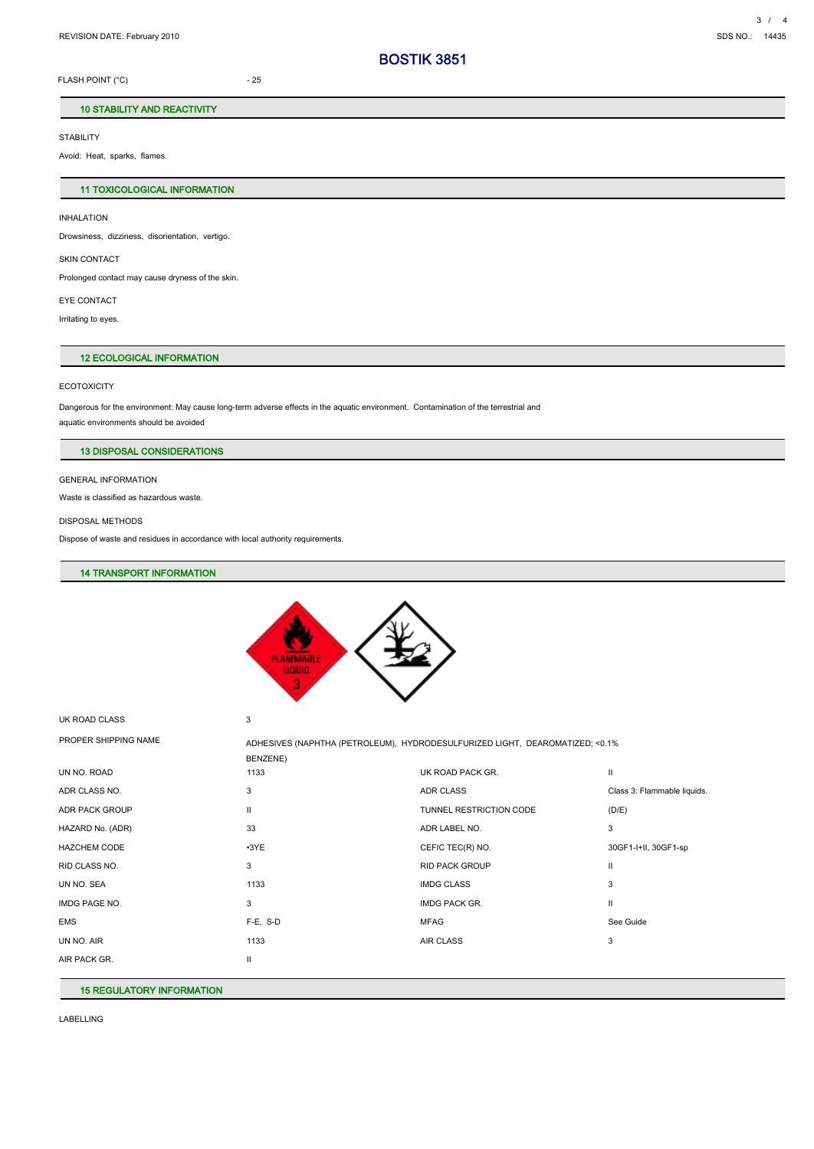FLASH POINT (°C) 25

## 10 STABILITY AND REACTIVITY

**STABILITY** 

Avoid: Heat, sparks, flames.

## 11 TOXICOLOGICAL INFORMATION

INHALATION Drowsiness, dizziness, disorientation, vertigo.

SKIN CONTACT

Prolonged contact may cause dryness of the skin.

EYE CONTACT

Irritating to eyes.

## 12 ECOLOGICAL INFORMATION

#### **ECOTOXICITY**

Dangerous for the environment: May cause long-term adverse effects in the aquatic environment. Contamination of the terrestrial and aquatic environments should be avoided

## 13 DISPOSAL CONSIDERATIONS

GENERAL INFORMATION

Waste is classified as hazardous waste.

### DISPOSAL METHODS

Dispose of waste and residues in accordance with local authority requirements.

## 14 TRANSPORT INFORMATION



UK ROAD CLASS 3

| PROPER SHIPPING NAME | BENZENE)      | ADHESIVES (NAPHTHA (PETROLEUM), HYDRODESULFURIZED LIGHT, DEAROMATIZED; <0.1% |                             |
|----------------------|---------------|------------------------------------------------------------------------------|-----------------------------|
| UN NO. ROAD          | 1133          | UK ROAD PACK GR.                                                             | $\mathbf{H}$                |
| ADR CLASS NO.        | 3             | ADR CLASS                                                                    | Class 3: Flammable liquids. |
| ADR PACK GROUP       | $\mathsf{II}$ | TUNNEL RESTRICTION CODE                                                      | (D/E)                       |
| HAZARD No. (ADR)     | 33            | ADR LABEL NO.                                                                | 3                           |
| <b>HAZCHEM CODE</b>  | $-3YE$        | CEFIC TEC(R) NO.                                                             | 30GF1-I+II, 30GF1-sp        |
| RID CLASS NO.        | 3             | <b>RID PACK GROUP</b>                                                        | $\mathbf{I}$                |
| UN NO. SEA           | 1133          | <b>IMDG CLASS</b>                                                            | 3                           |
| IMDG PAGE NO.        | 3             | IMDG PACK GR.                                                                | Ш                           |
| <b>EMS</b>           | $F-E$ , S-D   | <b>MFAG</b>                                                                  | See Guide                   |
| UN NO. AIR           | 1133          | AIR CLASS                                                                    | 3                           |
| AIR PACK GR.         | Ш             |                                                                              |                             |
|                      |               |                                                                              |                             |

## 15 REGULATORY INFORMATION

LABELLING